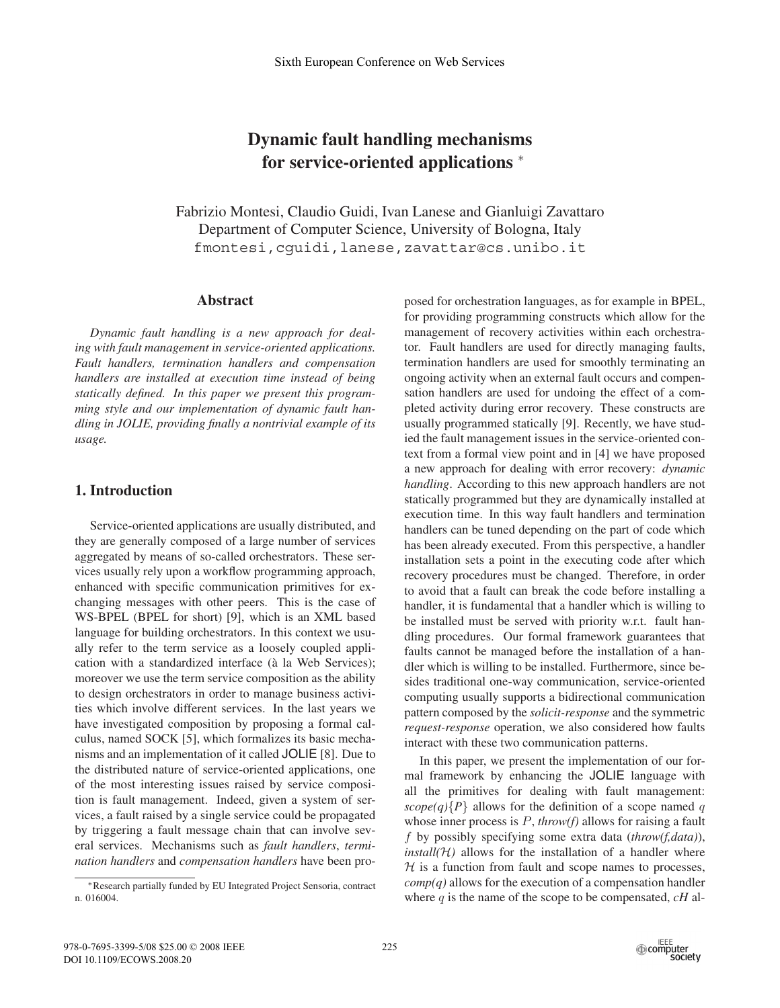# **Dynamic fault handling mechanisms for service-oriented applications** <sup>∗</sup>

Fabrizio Montesi, Claudio Guidi, Ivan Lanese and Gianluigi Zavattaro Department of Computer Science, University of Bologna, Italy fmontesi,cguidi,lanese,zavattar@cs.unibo.it

## **Abstract**

*Dynamic fault handling is a new approach for dealing with fault management in service-oriented applications. Fault handlers, termination handlers and compensation handlers are installed at execution time instead of being statically defined. In this paper we present this programming style and our implementation of dynamic fault handling in JOLIE, providing finally a nontrivial example of its usage.*

# **1. Introduction**

Service-oriented applications are usually distributed, and they are generally composed of a large number of services aggregated by means of so-called orchestrators. These services usually rely upon a workflow programming approach, enhanced with specific communication primitives for exchanging messages with other peers. This is the case of WS-BPEL (BPEL for short) [9], which is an XML based language for building orchestrators. In this context we usually refer to the term service as a loosely coupled application with a standardized interface (à la Web Services); moreover we use the term service composition as the ability to design orchestrators in order to manage business activities which involve different services. In the last years we have investigated composition by proposing a formal calculus, named SOCK [5], which formalizes its basic mechanisms and an implementation of it called JOLIE [8]. Due to the distributed nature of service-oriented applications, one of the most interesting issues raised by service composition is fault management. Indeed, given a system of services, a fault raised by a single service could be propagated by triggering a fault message chain that can involve several services. Mechanisms such as *fault handlers*, *termination handlers* and *compensation handlers* have been proposed for orchestration languages, as for example in BPEL, for providing programming constructs which allow for the management of recovery activities within each orchestrator. Fault handlers are used for directly managing faults, termination handlers are used for smoothly terminating an ongoing activity when an external fault occurs and compensation handlers are used for undoing the effect of a completed activity during error recovery. These constructs are usually programmed statically [9]. Recently, we have studied the fault management issues in the service-oriented context from a formal view point and in [4] we have proposed a new approach for dealing with error recovery: *dynamic handling*. According to this new approach handlers are not statically programmed but they are dynamically installed at execution time. In this way fault handlers and termination handlers can be tuned depending on the part of code which has been already executed. From this perspective, a handler installation sets a point in the executing code after which recovery procedures must be changed. Therefore, in order to avoid that a fault can break the code before installing a handler, it is fundamental that a handler which is willing to be installed must be served with priority w.r.t. fault handling procedures. Our formal framework guarantees that faults cannot be managed before the installation of a handler which is willing to be installed. Furthermore, since besides traditional one-way communication, service-oriented computing usually supports a bidirectional communication pattern composed by the *solicit-response* and the symmetric *request-response* operation, we also considered how faults interact with these two communication patterns.

In this paper, we present the implementation of our formal framework by enhancing the JOLIE language with all the primitives for dealing with fault management:  $scope(q)$ {*P*} allows for the definition of a scope named *q* whose inner process is *P*, *throw(f)* allows for raising a fault *f* by possibly specifying some extra data (*throw(f,data)*),  $intall(H)$  allows for the installation of a handler where  $H$  is a function from fault and scope names to processes, *comp(q)* allows for the execution of a compensation handler where *q* is the name of the scope to be compensated, *cH* al-

<sup>∗</sup>Research partially funded by EU Integrated Project Sensoria, contract n. 016004.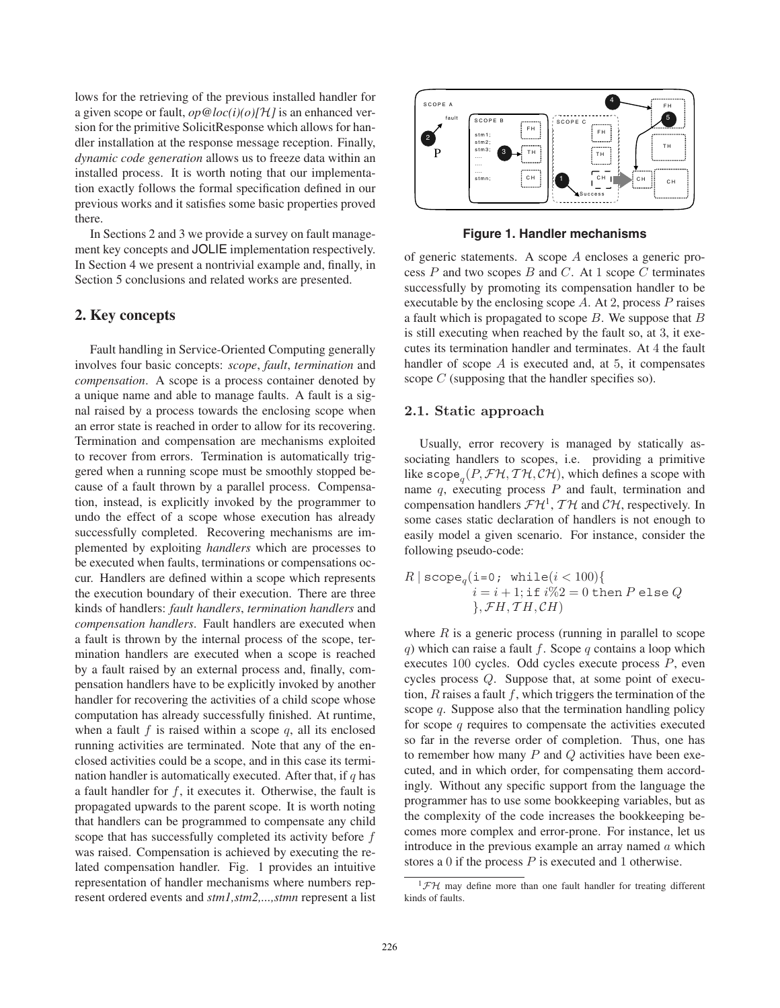lows for the retrieving of the previous installed handler for a given scope or fault, *op@loc(i)(o)[*H*]* is an enhanced version for the primitive SolicitResponse which allows for handler installation at the response message reception. Finally, *dynamic code generation* allows us to freeze data within an installed process. It is worth noting that our implementation exactly follows the formal specification defined in our previous works and it satisfies some basic properties proved there.

In Sections 2 and 3 we provide a survey on fault management key concepts and JOLIE implementation respectively. In Section 4 we present a nontrivial example and, finally, in Section 5 conclusions and related works are presented.

## **2. Key concepts**

Fault handling in Service-Oriented Computing generally involves four basic concepts: *scope*, *fault*, *termination* and *compensation*. A scope is a process container denoted by a unique name and able to manage faults. A fault is a signal raised by a process towards the enclosing scope when an error state is reached in order to allow for its recovering. Termination and compensation are mechanisms exploited to recover from errors. Termination is automatically triggered when a running scope must be smoothly stopped because of a fault thrown by a parallel process. Compensation, instead, is explicitly invoked by the programmer to undo the effect of a scope whose execution has already successfully completed. Recovering mechanisms are implemented by exploiting *handlers* which are processes to be executed when faults, terminations or compensations occur. Handlers are defined within a scope which represents the execution boundary of their execution. There are three kinds of handlers: *fault handlers*, *termination handlers* and *compensation handlers*. Fault handlers are executed when a fault is thrown by the internal process of the scope, termination handlers are executed when a scope is reached by a fault raised by an external process and, finally, compensation handlers have to be explicitly invoked by another handler for recovering the activities of a child scope whose computation has already successfully finished. At runtime, when a fault *f* is raised within a scope *q*, all its enclosed running activities are terminated. Note that any of the enclosed activities could be a scope, and in this case its termination handler is automatically executed. After that, if *q* has a fault handler for *f*, it executes it. Otherwise, the fault is propagated upwards to the parent scope. It is worth noting that handlers can be programmed to compensate any child scope that has successfully completed its activity before *f* was raised. Compensation is achieved by executing the related compensation handler. Fig. 1 provides an intuitive representation of handler mechanisms where numbers represent ordered events and *stm1,stm2,...,stmn* represent a list



**Figure 1. Handler mechanisms**

of generic statements. A scope *A* encloses a generic process *P* and two scopes *B* and *C*. At 1 scope *C* terminates successfully by promoting its compensation handler to be executable by the enclosing scope *A*. At 2, process *P* raises a fault which is propagated to scope *B*. We suppose that *B* is still executing when reached by the fault so, at 3, it executes its termination handler and terminates. At 4 the fault handler of scope *A* is executed and, at 5, it compensates scope *C* (supposing that the handler specifies so).

#### **2.1. Static approach**

Usually, error recovery is managed by statically associating handlers to scopes, i.e. providing a primitive like  $\text{scope}_q(P, \mathcal{FH}, \mathcal{TH}, \mathcal{CH})$ , which defines a scope with name *q*, executing process *P* and fault, termination and compensation handlers  $\mathcal{FH}^1$ ,  $\mathcal{TH}$  and  $\mathcal{CH}$ , respectively. In some cases static declaration of handlers is not enough to easily model a given scenario. For instance, consider the following pseudo-code:

$$
R | scope_q(i=0; while (i < 100) \{ i = i + 1; if i \% 2 = 0 then P else Q \}, \mathcal{F}H, \mathcal{T}H, \mathcal{C}H)
$$

where  $R$  is a generic process (running in parallel to scope *q*) which can raise a fault *f*. Scope *q* contains a loop which executes 100 cycles. Odd cycles execute process *P*, even cycles process *Q*. Suppose that, at some point of execution, *R* raises a fault *f*, which triggers the termination of the scope *q*. Suppose also that the termination handling policy for scope *q* requires to compensate the activities executed so far in the reverse order of completion. Thus, one has to remember how many *P* and *Q* activities have been executed, and in which order, for compensating them accordingly. Without any specific support from the language the programmer has to use some bookkeeping variables, but as the complexity of the code increases the bookkeeping becomes more complex and error-prone. For instance, let us introduce in the previous example an array named *a* which stores a 0 if the process *P* is executed and 1 otherwise.

<sup>1</sup>*FH* may define more than one fault handler for treating different kinds of faults.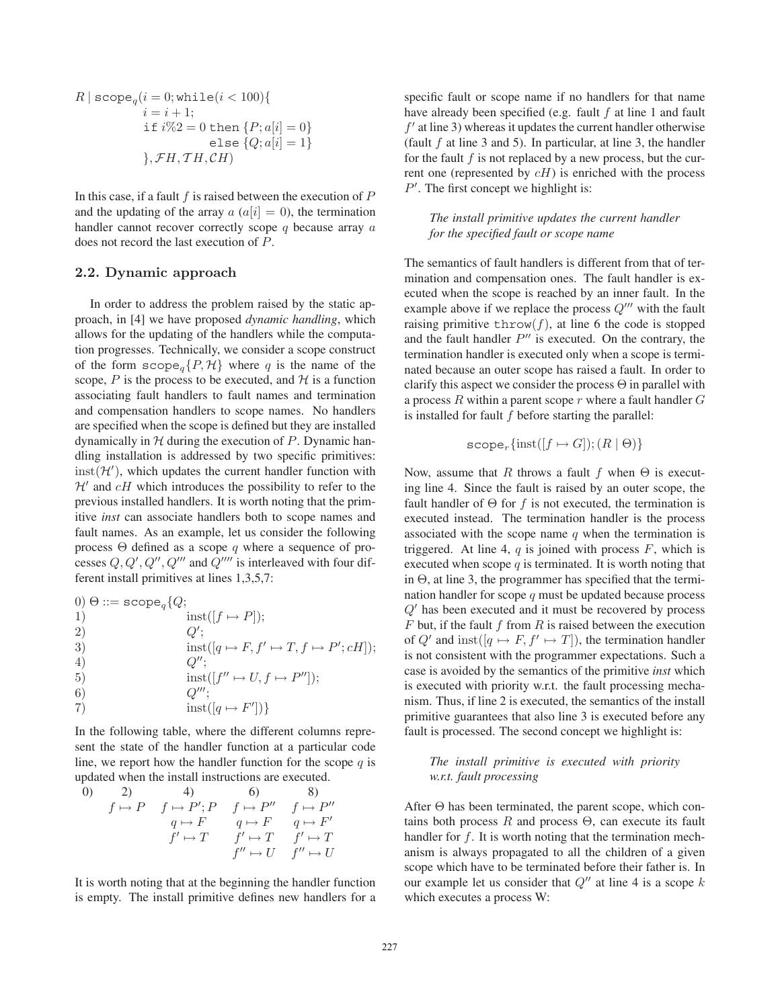$$
R | \text{ scope}_q(i=0; \text{while}(i < 100) \{ \begin{aligned} i &= i + 1; \\ \text{if } i\%2 &= 0 \text{ then } \{P; a[i] = 0 \} \\ \text{else } \{Q; a[i] = 1 \} \\ \}, \mathcal{F}H, \mathcal{T}H, \mathcal{C}H) \end{aligned}
$$

In this case, if a fault *f* is raised between the execution of *P* and the updating of the array  $a(a[i]=0)$ , the termination handler cannot recover correctly scope *q* because array *a* does not record the last execution of *P*.

#### **2.2. Dynamic approach**

In order to address the problem raised by the static approach, in [4] we have proposed *dynamic handling*, which allows for the updating of the handlers while the computation progresses. Technically, we consider a scope construct of the form  $\text{scope}_{q}\{P, \mathcal{H}\}\$  where *q* is the name of the scope,  $P$  is the process to be executed, and  $H$  is a function associating fault handlers to fault names and termination and compensation handlers to scope names. No handlers are specified when the scope is defined but they are installed dynamically in  $H$  during the execution of  $P$ . Dynamic handling installation is addressed by two specific primitives:  $\text{inst}(\mathcal{H}')$ , which updates the current handler function with  $H'$  and  $cH$  which introduces the possibility to refer to the previous installed handlers. It is worth noting that the primitive *inst* can associate handlers both to scope names and fault names. As an example, let us consider the following process Θ defined as a scope *q* where a sequence of processes  $Q, Q', Q'', Q'''$  and  $Q''''$  is interleaved with four different install primitives at lines 1,3,5,7:

0) Θ ::= scope*q*{*Q*; 1)  $\qquad \qquad \text{inst}([f \mapsto P]);$ 2)  $Q'$ ; 3)  $\text{inst}([q \mapsto F, f' \mapsto T, f \mapsto P'; cH]);$ 4) *Q*--; 5)  $\qquad \qquad \text{inst}([f'' \mapsto U, f \mapsto P'']);$ 6) *Q*---; 7)  $\qquad \qquad \text{inst}([q \mapsto F'])\}$ 

In the following table, where the different columns represent the state of the handler function at a particular code line, we report how the handler function for the scope *q* is updated when the install instructions are executed.

0) 2) 4) 6) 8)  
\n
$$
f \mapsto P
$$
  $f \mapsto P'; P$   $f \mapsto P''$   $f \mapsto P''$   
\n $q \mapsto F$   $q \mapsto F$   $q \mapsto F'$   
\n $f' \mapsto T$   $f' \mapsto T$   $f' \mapsto T$   
\n $f'' \mapsto U$   $f'' \mapsto U$ 

It is worth noting that at the beginning the handler function is empty. The install primitive defines new handlers for a

specific fault or scope name if no handlers for that name have already been specified (e.g. fault *f* at line 1 and fault  $f'$  at line 3) whereas it updates the current handler otherwise (fault *f* at line 3 and 5). In particular, at line 3, the handler for the fault *f* is not replaced by a new process, but the current one (represented by *cH*) is enriched with the process *P*<sup>'</sup>. The first concept we highlight is:

*The install primitive updates the current handler for the specified fault or scope name*

The semantics of fault handlers is different from that of termination and compensation ones. The fault handler is executed when the scope is reached by an inner fault. In the example above if we replace the process  $Q^{\prime\prime\prime}$  with the fault raising primitive  $\text{throw}(f)$ , at line 6 the code is stopped and the fault handler  $P^{\prime\prime}$  is executed. On the contrary, the termination handler is executed only when a scope is terminated because an outer scope has raised a fault. In order to clarify this aspect we consider the process  $\Theta$  in parallel with a process *R* within a parent scope *r* where a fault handler *G* is installed for fault *f* before starting the parallel:

$$
scope_r\{\text{inst}([f \mapsto G]); (R \mid \Theta)\}\
$$

Now, assume that *R* throws a fault *f* when  $\Theta$  is executing line 4. Since the fault is raised by an outer scope, the fault handler of  $\Theta$  for *f* is not executed, the termination is executed instead. The termination handler is the process associated with the scope name *q* when the termination is triggered. At line 4,  $q$  is joined with process  $F$ , which is executed when scope *q* is terminated. It is worth noting that in Θ, at line 3, the programmer has specified that the termination handler for scope *q* must be updated because process *Q*- has been executed and it must be recovered by process *F* but, if the fault *f* from *R* is raised between the execution of Q' and  $\text{inst}([q \mapsto F, f' \mapsto T])$ , the termination handler is not consistent with the programmer expectations. Such a case is avoided by the semantics of the primitive *inst* which is executed with priority w.r.t. the fault processing mechanism. Thus, if line 2 is executed, the semantics of the install primitive guarantees that also line 3 is executed before any fault is processed. The second concept we highlight is:

#### *The install primitive is executed with priority w.r.t. fault processing*

After  $\Theta$  has been terminated, the parent scope, which contains both process  $R$  and process  $\Theta$ , can execute its fault handler for *f*. It is worth noting that the termination mechanism is always propagated to all the children of a given scope which have to be terminated before their father is. In our example let us consider that  $Q''$  at line 4 is a scope  $k$ which executes a process W: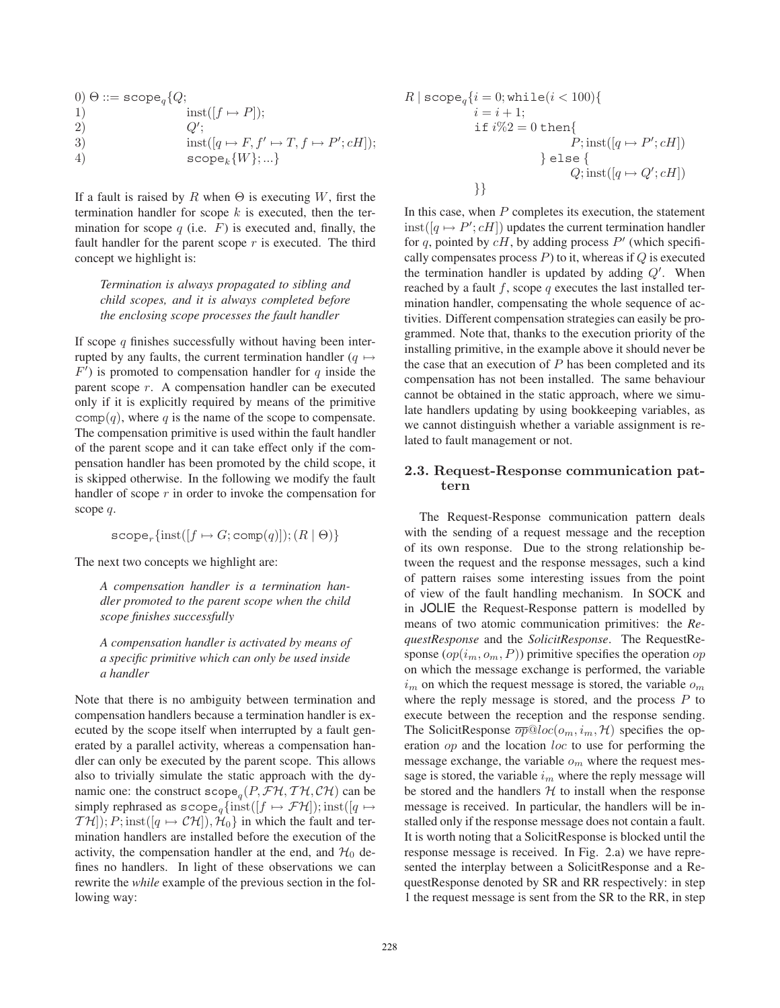0) Θ ::= scope*q*{*Q*; 1)  $\qquad \qquad \text{inst}([f \mapsto P]);$ 2)  $Q'$ ; 3)  $\qquad \qquad \text{inst}([q \mapsto F, f' \mapsto T, f \mapsto P'; cH]);$ 4) scope*k*{*W*}; *...*}

If a fault is raised by *R* when  $\Theta$  is executing *W*, first the termination handler for scope *k* is executed, then the termination for scope  $q$  (i.e.  $F$ ) is executed and, finally, the fault handler for the parent scope *r* is executed. The third concept we highlight is:

*Termination is always propagated to sibling and child scopes, and it is always completed before the enclosing scope processes the fault handler*

If scope *q* finishes successfully without having been interrupted by any faults, the current termination handler ( $q \mapsto$  $F'$ ) is promoted to compensation handler for  $q$  inside the parent scope *r*. A compensation handler can be executed only if it is explicitly required by means of the primitive  $comp(q)$ , where *q* is the name of the scope to compensate. The compensation primitive is used within the fault handler of the parent scope and it can take effect only if the compensation handler has been promoted by the child scope, it is skipped otherwise. In the following we modify the fault handler of scope *r* in order to invoke the compensation for scope *q*.

 $\text{scope}_r\{\text{inst}([f \mapsto G; \text{comp}(q)]); (R \mid \Theta)\}\$ 

The next two concepts we highlight are:

*A compensation handler is a termination handler promoted to the parent scope when the child scope finishes successfully*

*A compensation handler is activated by means of a specific primitive which can only be used inside a handler*

Note that there is no ambiguity between termination and compensation handlers because a termination handler is executed by the scope itself when interrupted by a fault generated by a parallel activity, whereas a compensation handler can only be executed by the parent scope. This allows also to trivially simulate the static approach with the dynamic one: the construct  $\text{scope}_{a}(P, \mathcal{FH}, \mathcal{TH}, \mathcal{CH})$  can be simply rephrased as  $\operatorname{scope}_q\{\operatorname{inst}([f \mapsto \mathcal{FH}])\;;\operatorname{inst}([q \mapsto$  $T\mathcal{H}$ ); *P*; inst([q  $\mapsto$  CH]),  $\mathcal{H}_0$ } in which the fault and termination handlers are installed before the execution of the activity, the compensation handler at the end, and  $H_0$  defines no handlers. In light of these observations we can rewrite the *while* example of the previous section in the following way:

$$
R \mid \text{scope}_q \{i = 0; \text{while}(i < 100)\}\n \begin{aligned}\n i &= i + 1; \\
 i &= i \quad \text{if} \ i \% 2 = 0 \text{ then}\n \begin{cases}\n P; \text{inst}([q \mapsto P'; cH]) \\
 &= 1 \text{ se}\n \end{cases} \\
 Q; \text{inst}([q \mapsto Q'; cH])\n \end{aligned}
$$

In this case, when *P* completes its execution, the statement  $\text{inst}([q \mapsto P'; cH])$  updates the current termination handler for q, pointed by  $cH$ , by adding process  $P'$  (which specifically compensates process *P*) to it, whereas if *Q* is executed the termination handler is updated by adding  $Q'$ . When reached by a fault *f*, scope *q* executes the last installed termination handler, compensating the whole sequence of activities. Different compensation strategies can easily be programmed. Note that, thanks to the execution priority of the installing primitive, in the example above it should never be the case that an execution of *P* has been completed and its compensation has not been installed. The same behaviour cannot be obtained in the static approach, where we simulate handlers updating by using bookkeeping variables, as we cannot distinguish whether a variable assignment is related to fault management or not.

#### **2.3. Request-Response communication pattern**

The Request-Response communication pattern deals with the sending of a request message and the reception of its own response. Due to the strong relationship between the request and the response messages, such a kind of pattern raises some interesting issues from the point of view of the fault handling mechanism. In SOCK and in JOLIE the Request-Response pattern is modelled by means of two atomic communication primitives: the *RequestResponse* and the *SolicitResponse*. The RequestResponse  $(op(i_m, o_m, P))$  primitive specifies the operation *op* on which the message exchange is performed, the variable  $i<sub>m</sub>$  on which the request message is stored, the variable  $o<sub>m</sub>$ where the reply message is stored, and the process *P* to execute between the reception and the response sending. The SolicitResponse  $\overline{op}@loc(o_m, i_m, \mathcal{H})$  specifies the operation *op* and the location *loc* to use for performing the message exchange, the variable *o<sup>m</sup>* where the request message is stored, the variable *i<sup>m</sup>* where the reply message will be stored and the handlers  $H$  to install when the response message is received. In particular, the handlers will be installed only if the response message does not contain a fault. It is worth noting that a SolicitResponse is blocked until the response message is received. In Fig. 2.a) we have represented the interplay between a SolicitResponse and a RequestResponse denoted by SR and RR respectively: in step 1 the request message is sent from the SR to the RR, in step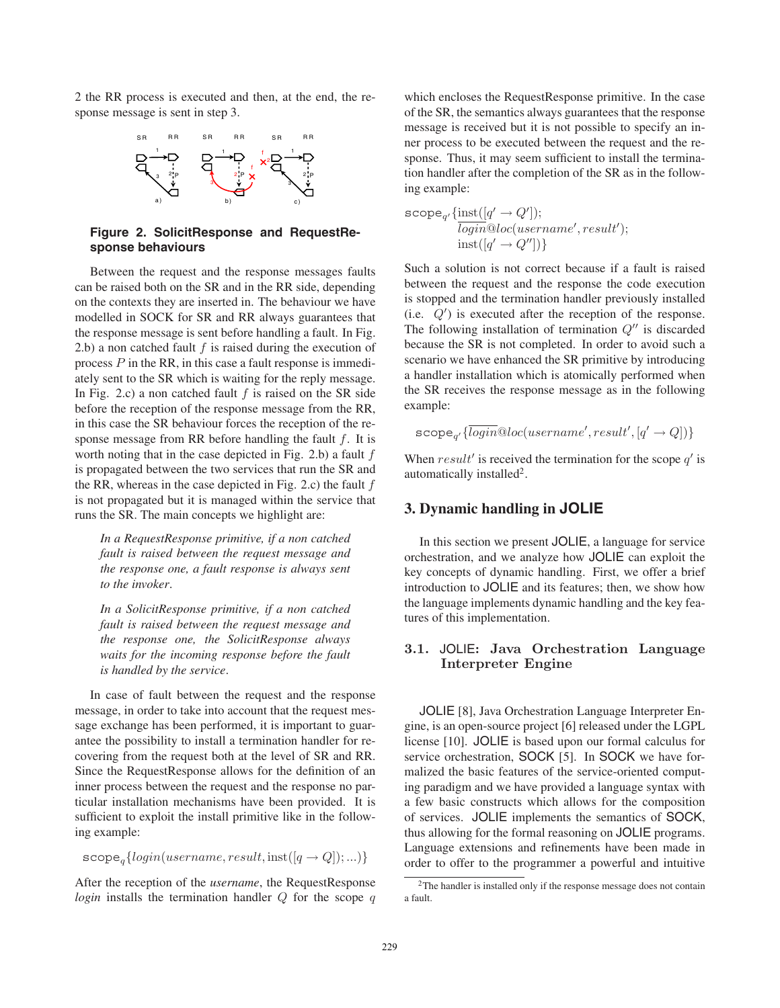2 the RR process is executed and then, at the end, the response message is sent in step 3.



**Figure 2. SolicitResponse and RequestResponse behaviours**

Between the request and the response messages faults can be raised both on the SR and in the RR side, depending on the contexts they are inserted in. The behaviour we have modelled in SOCK for SR and RR always guarantees that the response message is sent before handling a fault. In Fig. 2.b) a non catched fault *f* is raised during the execution of process *P* in the RR, in this case a fault response is immediately sent to the SR which is waiting for the reply message. In Fig. 2.c) a non catched fault *f* is raised on the SR side before the reception of the response message from the RR, in this case the SR behaviour forces the reception of the response message from RR before handling the fault *f*. It is worth noting that in the case depicted in Fig. 2.b) a fault *f* is propagated between the two services that run the SR and the RR, whereas in the case depicted in Fig. 2.c) the fault *f* is not propagated but it is managed within the service that runs the SR. The main concepts we highlight are:

*In a RequestResponse primitive, if a non catched fault is raised between the request message and the response one, a fault response is always sent to the invoker*.

*In a SolicitResponse primitive, if a non catched fault is raised between the request message and the response one, the SolicitResponse always waits for the incoming response before the fault is handled by the service*.

In case of fault between the request and the response message, in order to take into account that the request message exchange has been performed, it is important to guarantee the possibility to install a termination handler for recovering from the request both at the level of SR and RR. Since the RequestResponse allows for the definition of an inner process between the request and the response no particular installation mechanisms have been provided. It is sufficient to exploit the install primitive like in the following example:

 $\text{scope}_q\{login(username, result, \text{inst}([q \to Q]); \ldots)\}\$ 

After the reception of the *username*, the RequestResponse *login* installs the termination handler *Q* for the scope *q* which encloses the RequestResponse primitive. In the case of the SR, the semantics always guarantees that the response message is received but it is not possible to specify an inner process to be executed between the request and the response. Thus, it may seem sufficient to install the termination handler after the completion of the SR as in the following example:

$$
scope_{q'}\{\frac{\text{inst}([q'\rightarrow Q')];}{\overline{login@loc}(username', result');}
$$
  
inst([q'\rightarrow Q''])\}

Such a solution is not correct because if a fault is raised between the request and the response the code execution is stopped and the termination handler previously installed  $(i.e.  $Q'$ ) is executed after the reception of the response.$ The following installation of termination  $Q''$  is discarded because the SR is not completed. In order to avoid such a scenario we have enhanced the SR primitive by introducing a handler installation which is atomically performed when the SR receives the response message as in the following example:

$$
\texttt{scope}_{q'}\{\overline{login@loc}(username',result',[q'\rightarrow Q])\}
$$

When  $result'$  is received the termination for the scope  $q'$  is automatically installed<sup>2</sup>.

## **3. Dynamic handling in JOLIE**

In this section we present JOLIE, a language for service orchestration, and we analyze how JOLIE can exploit the key concepts of dynamic handling. First, we offer a brief introduction to JOLIE and its features; then, we show how the language implements dynamic handling and the key features of this implementation.

#### **3.1.** JOLIE**: Java Orchestration Language Interpreter Engine**

JOLIE [8], Java Orchestration Language Interpreter Engine, is an open-source project [6] released under the LGPL license [10]. JOLIE is based upon our formal calculus for service orchestration, SOCK [5]. In SOCK we have formalized the basic features of the service-oriented computing paradigm and we have provided a language syntax with a few basic constructs which allows for the composition of services. JOLIE implements the semantics of SOCK, thus allowing for the formal reasoning on JOLIE programs. Language extensions and refinements have been made in order to offer to the programmer a powerful and intuitive

<sup>&</sup>lt;sup>2</sup>The handler is installed only if the response message does not contain a fault.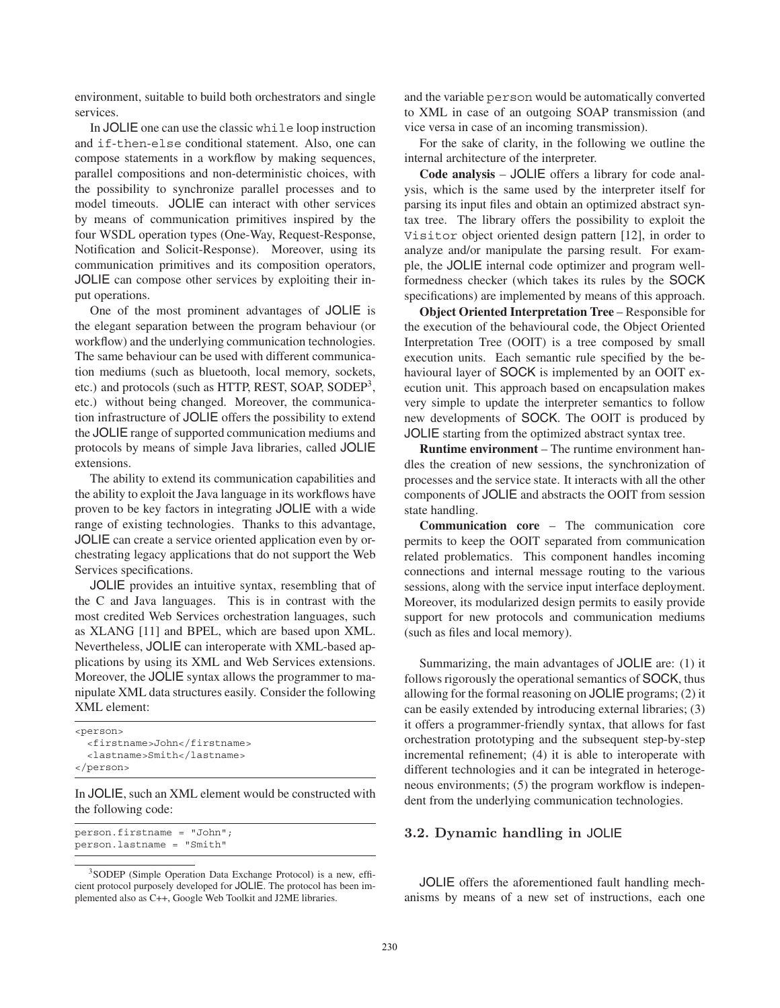environment, suitable to build both orchestrators and single services.

In JOLIE one can use the classic while loop instruction and if-then-else conditional statement. Also, one can compose statements in a workflow by making sequences, parallel compositions and non-deterministic choices, with the possibility to synchronize parallel processes and to model timeouts. JOLIE can interact with other services by means of communication primitives inspired by the four WSDL operation types (One-Way, Request-Response, Notification and Solicit-Response). Moreover, using its communication primitives and its composition operators, JOLIE can compose other services by exploiting their input operations.

One of the most prominent advantages of JOLIE is the elegant separation between the program behaviour (or workflow) and the underlying communication technologies. The same behaviour can be used with different communication mediums (such as bluetooth, local memory, sockets, etc.) and protocols (such as HTTP, REST, SOAP, SODEP<sup>3</sup>, etc.) without being changed. Moreover, the communication infrastructure of JOLIE offers the possibility to extend the JOLIE range of supported communication mediums and protocols by means of simple Java libraries, called JOLIE extensions.

The ability to extend its communication capabilities and the ability to exploit the Java language in its workflows have proven to be key factors in integrating JOLIE with a wide range of existing technologies. Thanks to this advantage, JOLIE can create a service oriented application even by orchestrating legacy applications that do not support the Web Services specifications.

JOLIE provides an intuitive syntax, resembling that of the C and Java languages. This is in contrast with the most credited Web Services orchestration languages, such as XLANG [11] and BPEL, which are based upon XML. Nevertheless, JOLIE can interoperate with XML-based applications by using its XML and Web Services extensions. Moreover, the JOLIE syntax allows the programmer to manipulate XML data structures easily. Consider the following XML element:

```
<person>
 <firstname>John</firstname>
  <lastname>Smith</lastname>
</person>
```
In JOLIE, such an XML element would be constructed with the following code:

person.firstname = "John"; person.lastname = "Smith"

and the variable person would be automatically converted to XML in case of an outgoing SOAP transmission (and vice versa in case of an incoming transmission).

For the sake of clarity, in the following we outline the internal architecture of the interpreter.

**Code analysis** – JOLIE offers a library for code analysis, which is the same used by the interpreter itself for parsing its input files and obtain an optimized abstract syntax tree. The library offers the possibility to exploit the Visitor object oriented design pattern [12], in order to analyze and/or manipulate the parsing result. For example, the JOLIE internal code optimizer and program wellformedness checker (which takes its rules by the SOCK specifications) are implemented by means of this approach.

**Object Oriented Interpretation Tree** – Responsible for the execution of the behavioural code, the Object Oriented Interpretation Tree (OOIT) is a tree composed by small execution units. Each semantic rule specified by the behavioural layer of SOCK is implemented by an OOIT execution unit. This approach based on encapsulation makes very simple to update the interpreter semantics to follow new developments of SOCK. The OOIT is produced by JOLIE starting from the optimized abstract syntax tree.

**Runtime environment** – The runtime environment handles the creation of new sessions, the synchronization of processes and the service state. It interacts with all the other components of JOLIE and abstracts the OOIT from session state handling.

**Communication core** – The communication core permits to keep the OOIT separated from communication related problematics. This component handles incoming connections and internal message routing to the various sessions, along with the service input interface deployment. Moreover, its modularized design permits to easily provide support for new protocols and communication mediums (such as files and local memory).

Summarizing, the main advantages of JOLIE are: (1) it follows rigorously the operational semantics of SOCK, thus allowing for the formal reasoning on JOLIE programs; (2) it can be easily extended by introducing external libraries; (3) it offers a programmer-friendly syntax, that allows for fast orchestration prototyping and the subsequent step-by-step incremental refinement; (4) it is able to interoperate with different technologies and it can be integrated in heterogeneous environments; (5) the program workflow is independent from the underlying communication technologies.

## **3.2. Dynamic handling in** JOLIE

JOLIE offers the aforementioned fault handling mechanisms by means of a new set of instructions, each one

<sup>&</sup>lt;sup>3</sup>SODEP (Simple Operation Data Exchange Protocol) is a new, efficient protocol purposely developed for JOLIE. The protocol has been implemented also as C++, Google Web Toolkit and J2ME libraries.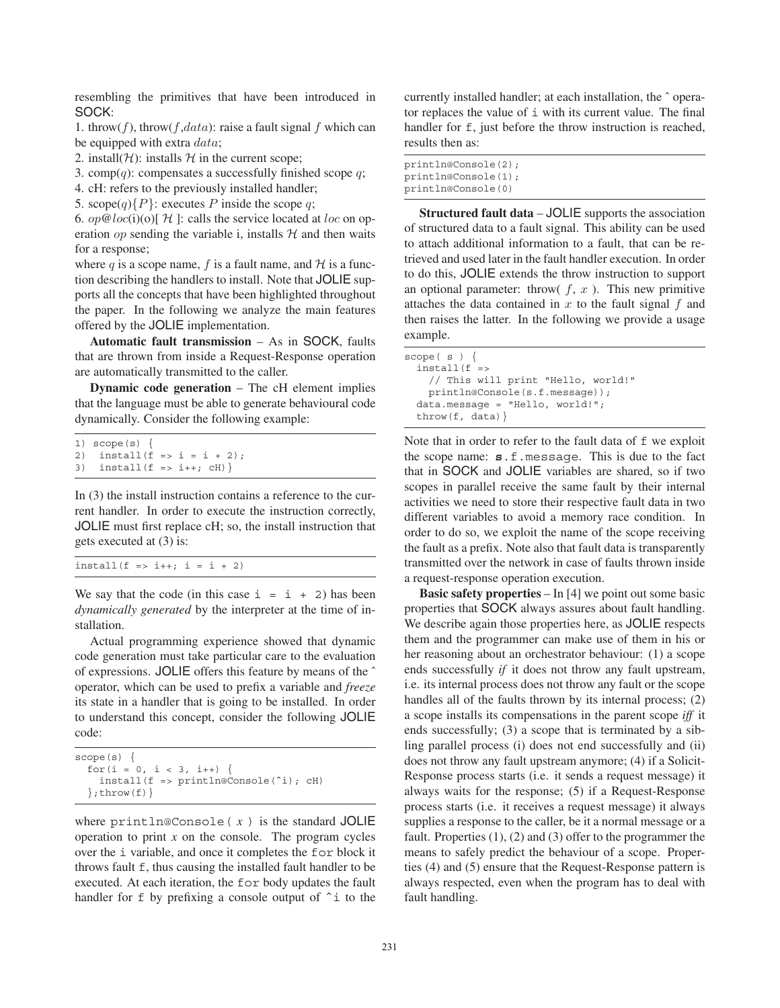resembling the primitives that have been introduced in SOCK:

1. throw( $f$ ), throw( $f$ , $data$ ): raise a fault signal  $f$  which can be equipped with extra *data*;

2. install( $H$ ): installs  $H$  in the current scope;

3. comp(*q*): compensates a successfully finished scope *q*;

4. cH: refers to the previously installed handler;

5. scope $(q)$ { $P$ }: executes  $P$  inside the scope  $q$ ;

6. *op* $@loc(i)(o)[\mathcal{H}]$ : calls the service located at *loc* on operation *op* sending the variable i, installs  $H$  and then waits for a response;

where q is a scope name, f is a fault name, and  $H$  is a function describing the handlers to install. Note that JOLIE supports all the concepts that have been highlighted throughout the paper. In the following we analyze the main features offered by the JOLIE implementation.

**Automatic fault transmission** – As in SOCK, faults that are thrown from inside a Request-Response operation are automatically transmitted to the caller.

**Dynamic code generation** – The cH element implies that the language must be able to generate behavioural code dynamically. Consider the following example:

```
1) scope(s)2) install(f \Rightarrow i = i + 2);3) install(f = > i++); cH)}
```
In (3) the install instruction contains a reference to the current handler. In order to execute the instruction correctly, JOLIE must first replace cH; so, the install instruction that gets executed at (3) is:

We say that the code (in this case  $i = i + 2$ ) has been *dynamically generated* by the interpreter at the time of installation.

Actual programming experience showed that dynamic code generation must take particular care to the evaluation of expressions. JOLIE offers this feature by means of the ˆ operator, which can be used to prefix a variable and *freeze* its state in a handler that is going to be installed. In order to understand this concept, consider the following JOLIE code:

```
scope(s) {
  for(i = 0, i < 3, i++) {
    install(f => println@Console(ˆi); cH)
  \}; throw(f) \}
```
where println@Console( *x* ) is the standard JOLIE operation to print *x* on the console. The program cycles over the i variable, and once it completes the for block it throws fault f, thus causing the installed fault handler to be executed. At each iteration, the for body updates the fault handler for f by prefixing a console output of ^i to the currently installed handler; at each installation, the ˆ operator replaces the value of i with its current value. The final handler for  $f$ , just before the throw instruction is reached, results then as:

```
println@Console(2);
println@Console(1);
println@Console(0)
```
**Structured fault data** – JOLIE supports the association of structured data to a fault signal. This ability can be used to attach additional information to a fault, that can be retrieved and used later in the fault handler execution. In order to do this, JOLIE extends the throw instruction to support an optional parameter: throw( $f, x$ ). This new primitive attaches the data contained in *x* to the fault signal *f* and then raises the latter. In the following we provide a usage example.

```
scope( s ) {
 install(f =)// This will print "Hello, world!"
   println@Console(s.f.message));
 data.message = "Hello, world!";
  throw(f, data) }
```
Note that in order to refer to the fault data of  $f$  we exploit the scope name: **s**.f.message. This is due to the fact that in SOCK and JOLIE variables are shared, so if two scopes in parallel receive the same fault by their internal activities we need to store their respective fault data in two different variables to avoid a memory race condition. In order to do so, we exploit the name of the scope receiving the fault as a prefix. Note also that fault data is transparently transmitted over the network in case of faults thrown inside a request-response operation execution.

**Basic safety properties** – In [4] we point out some basic properties that SOCK always assures about fault handling. We describe again those properties here, as JOLIE respects them and the programmer can make use of them in his or her reasoning about an orchestrator behaviour: (1) a scope ends successfully *if* it does not throw any fault upstream, i.e. its internal process does not throw any fault or the scope handles all of the faults thrown by its internal process; (2) a scope installs its compensations in the parent scope *iff* it ends successfully; (3) a scope that is terminated by a sibling parallel process (i) does not end successfully and (ii) does not throw any fault upstream anymore; (4) if a Solicit-Response process starts (i.e. it sends a request message) it always waits for the response; (5) if a Request-Response process starts (i.e. it receives a request message) it always supplies a response to the caller, be it a normal message or a fault. Properties (1), (2) and (3) offer to the programmer the means to safely predict the behaviour of a scope. Properties (4) and (5) ensure that the Request-Response pattern is always respected, even when the program has to deal with fault handling.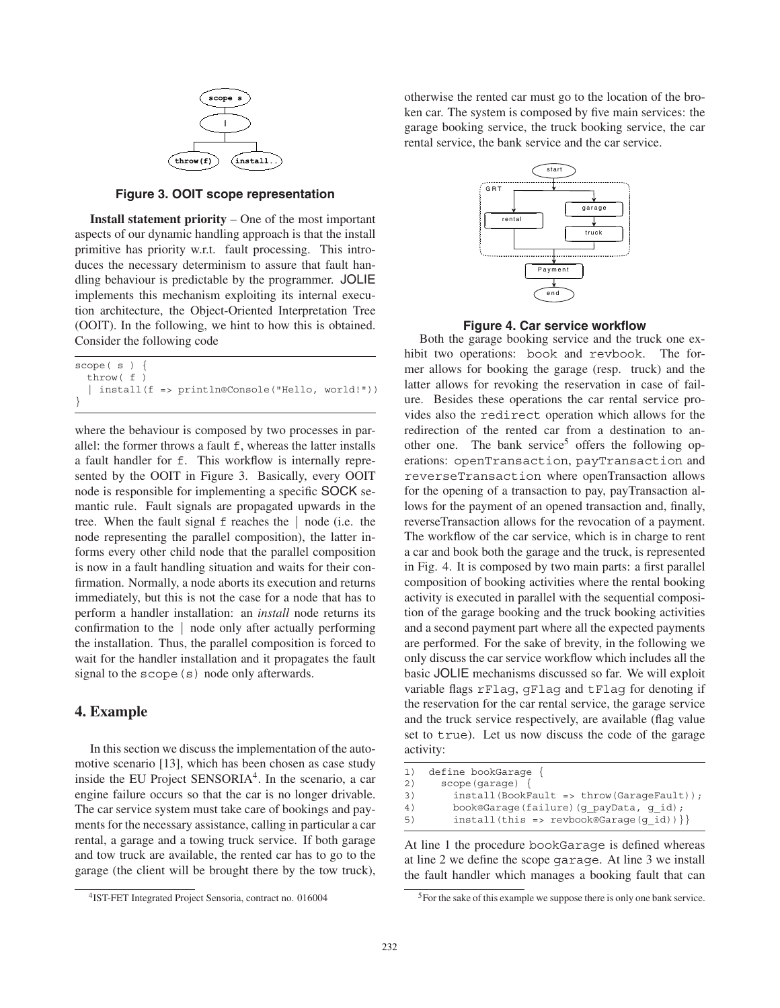

**Figure 3. OOIT scope representation**

**Install statement priority** – One of the most important aspects of our dynamic handling approach is that the install primitive has priority w.r.t. fault processing. This introduces the necessary determinism to assure that fault handling behaviour is predictable by the programmer. JOLIE implements this mechanism exploiting its internal execution architecture, the Object-Oriented Interpretation Tree (OOIT). In the following, we hint to how this is obtained. Consider the following code

```
scope( s ) {
 throw( f )
   | install(f => println@Console("Hello, world!"))
}
```
where the behaviour is composed by two processes in parallel: the former throws a fault f, whereas the latter installs a fault handler for f. This workflow is internally represented by the OOIT in Figure 3. Basically, every OOIT node is responsible for implementing a specific SOCK semantic rule. Fault signals are propagated upwards in the tree. When the fault signal f reaches the | node (i.e. the node representing the parallel composition), the latter informs every other child node that the parallel composition is now in a fault handling situation and waits for their confirmation. Normally, a node aborts its execution and returns immediately, but this is not the case for a node that has to perform a handler installation: an *install* node returns its confirmation to the | node only after actually performing the installation. Thus, the parallel composition is forced to wait for the handler installation and it propagates the fault signal to the scope (s) node only afterwards.

## **4. Example**

In this section we discuss the implementation of the automotive scenario [13], which has been chosen as case study inside the EU Project  $SENSORIA<sup>4</sup>$ . In the scenario, a car engine failure occurs so that the car is no longer drivable. The car service system must take care of bookings and payments for the necessary assistance, calling in particular a car rental, a garage and a towing truck service. If both garage and tow truck are available, the rented car has to go to the garage (the client will be brought there by the tow truck),

otherwise the rented car must go to the location of the broken car. The system is composed by five main services: the garage booking service, the truck booking service, the car rental service, the bank service and the car service.



#### **Figure 4. Car service workflow**

Both the garage booking service and the truck one exhibit two operations: book and revbook. The former allows for booking the garage (resp. truck) and the latter allows for revoking the reservation in case of failure. Besides these operations the car rental service provides also the redirect operation which allows for the redirection of the rented car from a destination to another one. The bank service<sup>5</sup> offers the following operations: openTransaction, payTransaction and reverseTransaction where openTransaction allows for the opening of a transaction to pay, payTransaction allows for the payment of an opened transaction and, finally, reverseTransaction allows for the revocation of a payment. The workflow of the car service, which is in charge to rent a car and book both the garage and the truck, is represented in Fig. 4. It is composed by two main parts: a first parallel composition of booking activities where the rental booking activity is executed in parallel with the sequential composition of the garage booking and the truck booking activities and a second payment part where all the expected payments are performed. For the sake of brevity, in the following we only discuss the car service workflow which includes all the basic JOLIE mechanisms discussed so far. We will exploit variable flags rFlag, gFlag and tFlag for denoting if the reservation for the car rental service, the garage service and the truck service respectively, are available (flag value set to true). Let us now discuss the code of the garage activity:

|  | 1) define bookGaraqe { |  |
|--|------------------------|--|
|  |                        |  |

```
2) scope(garage) {
```
3) install(BookFault => throw(GarageFault));

4) book@Garage(failure)(g\_payData, g\_id);

5) install(this => revbook@Garage(g\_id))}}

At line 1 the procedure bookGarage is defined whereas at line 2 we define the scope garage. At line 3 we install the fault handler which manages a booking fault that can

<sup>4</sup>IST-FET Integrated Project Sensoria, contract no. 016004

<sup>&</sup>lt;sup>5</sup>For the sake of this example we suppose there is only one bank service.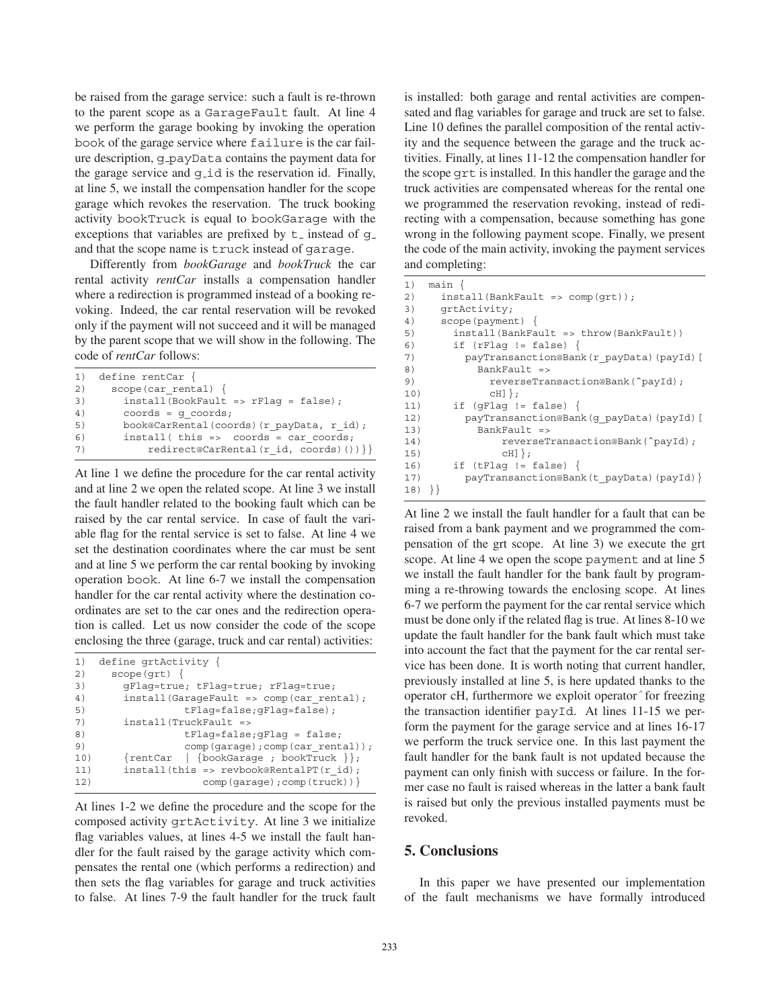be raised from the garage service: such a fault is re-thrown to the parent scope as a GarageFault fault. At line 4 we perform the garage booking by invoking the operation book of the garage service where failure is the car failure description, g<sub>-</sub>payData contains the payment data for the garage service and  $g$ <sub>-id</sub> is the reservation id. Finally, at line 5, we install the compensation handler for the scope garage which revokes the reservation. The truck booking activity bookTruck is equal to bookGarage with the exceptions that variables are prefixed by  $t_$  instead of  $q_$ and that the scope name is truck instead of garage.

Differently from *bookGarage* and *bookTruck* the car rental activity *rentCar* installs a compensation handler where a redirection is programmed instead of a booking revoking. Indeed, the car rental reservation will be revoked only if the payment will not succeed and it will be managed by the parent scope that we will show in the following. The code of *rentCar* follows:

| 1) | define rentCar $\{$                           |
|----|-----------------------------------------------|
| 2) | $scope (car rental)$ {                        |
| 3) | $install (BookFault \implies rFlag = false);$ |
| 4) | $coords = q coords;$                          |
| 5) | book@CarRental(coords)(r payData, r id);      |
| 6) | $install( this => coords = car coords;$       |
| 7) | redirect@CarRental(r id, coords)())           |

At line 1 we define the procedure for the car rental activity and at line 2 we open the related scope. At line 3 we install the fault handler related to the booking fault which can be raised by the car rental service. In case of fault the variable flag for the rental service is set to false. At line 4 we set the destination coordinates where the car must be sent and at line 5 we perform the car rental booking by invoking operation book. At line 6-7 we install the compensation handler for the car rental activity where the destination coordinates are set to the car ones and the redirection operation is called. Let us now consider the code of the scope enclosing the three (garage, truck and car rental) activities:

```
1) define grtActivity {
2) scope(grt) {
3) gFlag=true; tFlag=true; rFlag=true;
4) install(GarageFault => comp(car_rental);
5) tFlag=false;gFlag=false);
7) install(TruckFault =>
8) tFlag=false;gFlag = false;
9) comp(qaraqe); comp(car_rental));
10) {rentCar | {bookGarage ; bookTruck }};
11) install(this => revbook@RentalPT(r id);
12) comp(garage); comp(truck)) }
```
At lines 1-2 we define the procedure and the scope for the composed activity grtActivity. At line 3 we initialize flag variables values, at lines 4-5 we install the fault handler for the fault raised by the garage activity which compensates the rental one (which performs a redirection) and then sets the flag variables for garage and truck activities to false. At lines 7-9 the fault handler for the truck fault

is installed: both garage and rental activities are compensated and flag variables for garage and truck are set to false. Line 10 defines the parallel composition of the rental activity and the sequence between the garage and the truck activities. Finally, at lines 11-12 the compensation handler for the scope grt is installed. In this handler the garage and the truck activities are compensated whereas for the rental one we programmed the reservation revoking, instead of redirecting with a compensation, because something has gone wrong in the following payment scope. Finally, we present the code of the main activity, invoking the payment services and completing:

| 1)  | main {                                       |
|-----|----------------------------------------------|
| 2)  | $install(BankFault \Rightarrow comp(qrt))$ ; |
| 3)  | qrtActivity;                                 |
| 4)  | $score(payment)$ {                           |
| 5)  | install(BankFault => throw(BankFault))       |
| 6)  | if $(rFlag := false)$ {                      |
| 7)  | payTransanction@Bank(r payData)(payId)[      |
| 8)  | $BankFault$ =>                               |
| 9)  | reverseTransaction@Bank(^payId);             |
| 10) | $CH]$ ;                                      |
| 11) | if $(qFlaq := false)$ {                      |
| 12) | payTransanction@Bank(g payData)(payId)[      |
| 13) | $BankFull = >$                               |
| 14) | reverseTransaction@Bank(^payId);             |
| 15) | $CH]$ ;                                      |
| 16) | if (tFlaq != false) $\{$                     |
| 17) | payTransanction@Bank(t payData)(payId)}      |
| 18) | $\rightarrow$                                |

At line 2 we install the fault handler for a fault that can be raised from a bank payment and we programmed the compensation of the grt scope. At line 3) we execute the grt scope. At line 4 we open the scope payment and at line 5 we install the fault handler for the bank fault by programming a re-throwing towards the enclosing scope. At lines 6-7 we perform the payment for the car rental service which must be done only if the related flag is true. At lines 8-10 we update the fault handler for the bank fault which must take into account the fact that the payment for the car rental service has been done. It is worth noting that current handler, previously installed at line 5, is here updated thanks to the operator cH, furthermore we exploit operatorˆfor freezing the transaction identifier payId. At lines 11-15 we perform the payment for the garage service and at lines 16-17 we perform the truck service one. In this last payment the fault handler for the bank fault is not updated because the payment can only finish with success or failure. In the former case no fault is raised whereas in the latter a bank fault is raised but only the previous installed payments must be revoked.

## **5. Conclusions**

In this paper we have presented our implementation of the fault mechanisms we have formally introduced